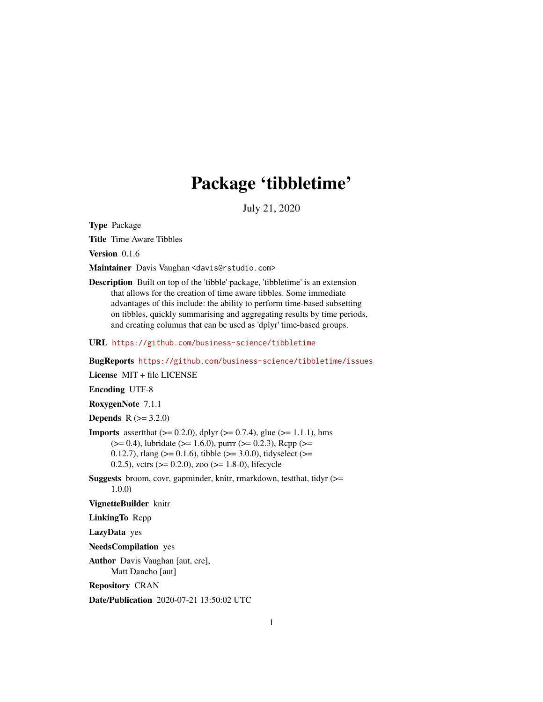# Package 'tibbletime'

July 21, 2020

<span id="page-0-0"></span>Type Package

Title Time Aware Tibbles

Version 0.1.6

Maintainer Davis Vaughan <davis@rstudio.com>

Description Built on top of the 'tibble' package, 'tibbletime' is an extension that allows for the creation of time aware tibbles. Some immediate advantages of this include: the ability to perform time-based subsetting on tibbles, quickly summarising and aggregating results by time periods, and creating columns that can be used as 'dplyr' time-based groups.

URL <https://github.com/business-science/tibbletime>

BugReports <https://github.com/business-science/tibbletime/issues>

License MIT + file LICENSE

Encoding UTF-8

RoxygenNote 7.1.1

**Depends**  $R (= 3.2.0)$ 

**Imports** assert that  $(>= 0.2.0)$ , dplyr  $(>= 0.7.4)$ , glue  $(>= 1.1.1)$ , hms  $(>= 0.4)$ , lubridate ( $>= 1.6.0$ ), purrr ( $>= 0.2.3$ ), Rcpp ( $>= 0.2$ 0.12.7), rlang ( $>= 0.1.6$ ), tibble ( $>= 3.0.0$ ), tidyselect ( $>= 0.1.6$ ) 0.2.5), vctrs ( $> = 0.2.0$ ), zoo ( $> = 1.8-0$ ), lifecycle

Suggests broom, covr, gapminder, knitr, rmarkdown, testthat, tidyr (>= 1.0.0)

VignetteBuilder knitr

LinkingTo Rcpp

LazyData yes

NeedsCompilation yes

Author Davis Vaughan [aut, cre], Matt Dancho [aut]

Repository CRAN

Date/Publication 2020-07-21 13:50:02 UTC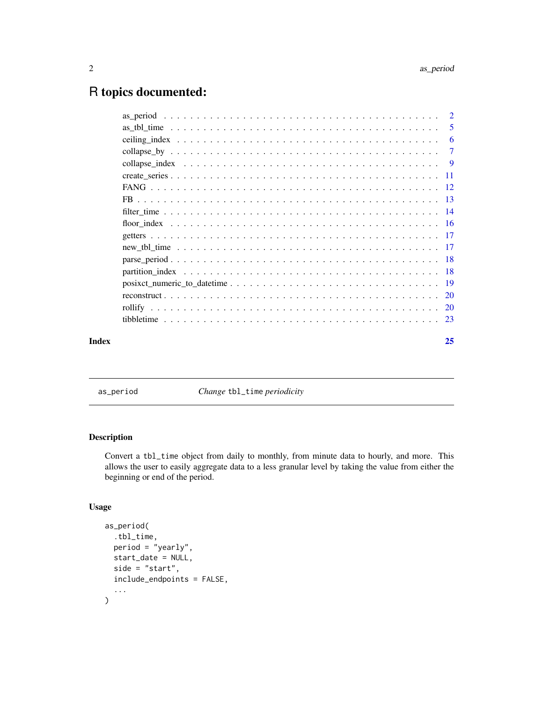# <span id="page-1-0"></span>R topics documented:

<span id="page-1-1"></span>as\_period *Change* tbl\_time *periodicity*

# Description

Convert a tbl\_time object from daily to monthly, from minute data to hourly, and more. This allows the user to easily aggregate data to a less granular level by taking the value from either the beginning or end of the period.

# Usage

```
as_period(
  .tbl_time,
  period = "yearly",
  start_date = NULL,
  side = "start",
  include_endpoints = FALSE,
  ...
\overline{\phantom{a}}
```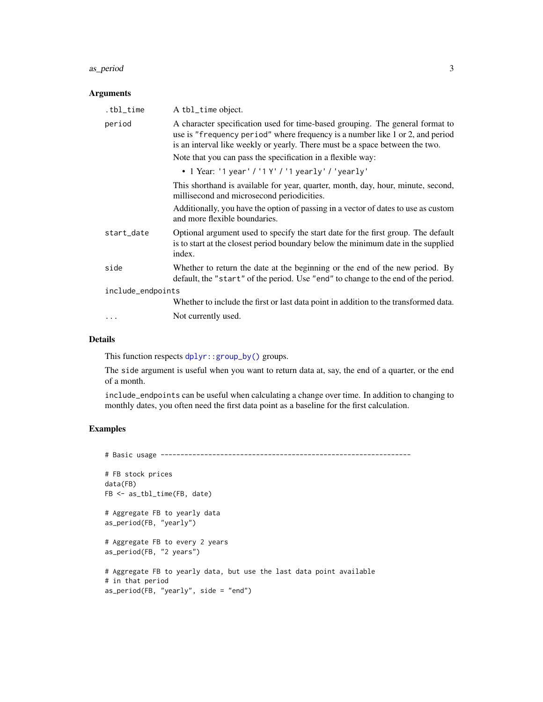#### <span id="page-2-0"></span>as\_period 3

#### Arguments

| .tbl_time         | A tbl_time object.                                                                                                                                                                                                                             |
|-------------------|------------------------------------------------------------------------------------------------------------------------------------------------------------------------------------------------------------------------------------------------|
| period            | A character specification used for time-based grouping. The general format to<br>use is "frequency period" where frequency is a number like 1 or 2, and period<br>is an interval like weekly or yearly. There must be a space between the two. |
|                   | Note that you can pass the specification in a flexible way:                                                                                                                                                                                    |
|                   | • 1 Year: '1 year' / '1 Y' / '1 yearly' / 'yearly'                                                                                                                                                                                             |
|                   | This shorthand is available for year, quarter, month, day, hour, minute, second,<br>millisecond and microsecond periodicities.                                                                                                                 |
|                   | Additionally, you have the option of passing in a vector of dates to use as custom<br>and more flexible boundaries.                                                                                                                            |
| start_date        | Optional argument used to specify the start date for the first group. The default<br>is to start at the closest period boundary below the minimum date in the supplied<br>index.                                                               |
| side              | Whether to return the date at the beginning or the end of the new period. By<br>default, the "start" of the period. Use "end" to change to the end of the period.                                                                              |
| include_endpoints |                                                                                                                                                                                                                                                |
|                   | Whether to include the first or last data point in addition to the transformed data.                                                                                                                                                           |
|                   | Not currently used.                                                                                                                                                                                                                            |
|                   |                                                                                                                                                                                                                                                |

#### Details

This function respects [dplyr::group\\_by\(\)](#page-0-0) groups.

The side argument is useful when you want to return data at, say, the end of a quarter, or the end of a month.

include\_endpoints can be useful when calculating a change over time. In addition to changing to monthly dates, you often need the first data point as a baseline for the first calculation.

```
# Basic usage ---------------------------------------------------------------
```

```
# FB stock prices
data(FB)
FB <- as_tbl_time(FB, date)
# Aggregate FB to yearly data
as_period(FB, "yearly")
# Aggregate FB to every 2 years
as_period(FB, "2 years")
# Aggregate FB to yearly data, but use the last data point available
# in that period
as_period(FB, "yearly", side = "end")
```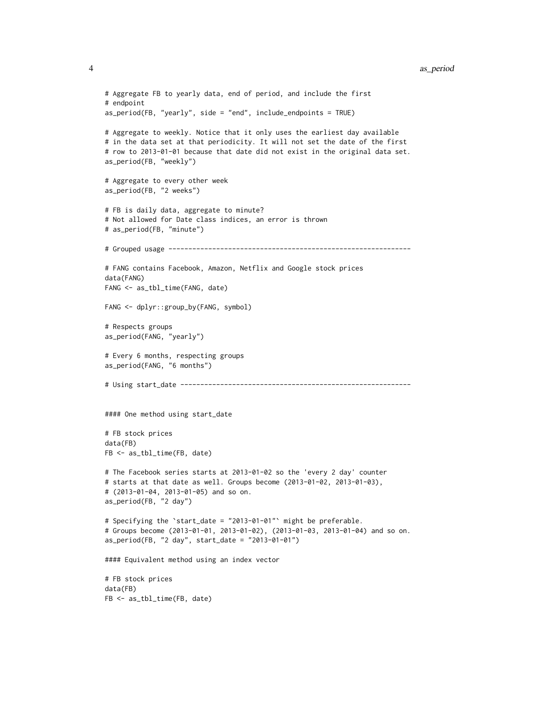```
# Aggregate FB to yearly data, end of period, and include the first
# endpoint
as_period(FB, "yearly", side = "end", include_endpoints = TRUE)
# Aggregate to weekly. Notice that it only uses the earliest day available
# in the data set at that periodicity. It will not set the date of the first
# row to 2013-01-01 because that date did not exist in the original data set.
as_period(FB, "weekly")
# Aggregate to every other week
as_period(FB, "2 weeks")
# FB is daily data, aggregate to minute?
# Not allowed for Date class indices, an error is thrown
# as_period(FB, "minute")
# Grouped usage -------------------------------------------------------------
# FANG contains Facebook, Amazon, Netflix and Google stock prices
data(FANG)
FANG <- as_tbl_time(FANG, date)
FANG <- dplyr::group_by(FANG, symbol)
# Respects groups
as_period(FANG, "yearly")
# Every 6 months, respecting groups
as_period(FANG, "6 months")
# Using start_date ----------------------------------------------------------
#### One method using start_date
# FB stock prices
data(FB)
FB <- as_tbl_time(FB, date)
# The Facebook series starts at 2013-01-02 so the 'every 2 day' counter
# starts at that date as well. Groups become (2013-01-02, 2013-01-03),
# (2013-01-04, 2013-01-05) and so on.
as_period(FB, "2 day")
# Specifying the `start_date = "2013-01-01"` might be preferable.
# Groups become (2013-01-01, 2013-01-02), (2013-01-03, 2013-01-04) and so on.
as_period(FB, "2 day", start_date = "2013-01-01")
#### Equivalent method using an index vector
# FB stock prices
data(FB)
FB <- as_tbl_time(FB, date)
```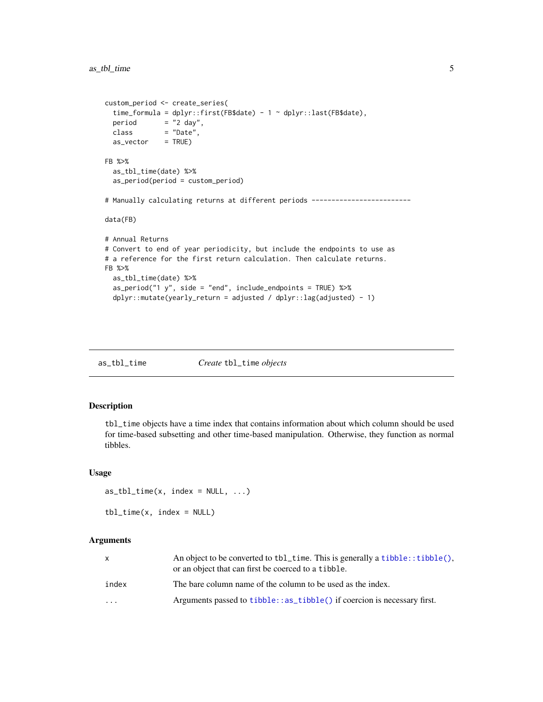```
custom_period <- create_series(
 time_formula = dplyr::first(FB$date) - 1 ~ dplyr::last(FB$date),
 period = "2 day",
 class = "Date",
 as\_vector = TRUE)
FB %>%
 as_tbl_time(date) %>%
 as_period(period = custom_period)
# Manually calculating returns at different periods -------------------------
data(FB)
# Annual Returns
# Convert to end of year periodicity, but include the endpoints to use as
# a reference for the first return calculation. Then calculate returns.
FB %>%
 as_tbl_time(date) %>%
 as_period("1 y", side = "end", include_endpoints = TRUE) %>%
 dplyr::mutate(yearly_return = adjusted / dplyr::lag(adjusted) - 1)
```
as\_tbl\_time *Create* tbl\_time *objects*

### Description

tbl\_time objects have a time index that contains information about which column should be used for time-based subsetting and other time-based manipulation. Otherwise, they function as normal tibbles.

#### Usage

```
as_{\text{t}} = \text{tbl}_{\text{t}} = \text{tbl}_{\text{t}} \dots
```

```
tbl_time(x, index = NULL)
```
#### Arguments

|                         | An object to be converted to tbl_time. This is generally a tibble:: tibble(), |
|-------------------------|-------------------------------------------------------------------------------|
|                         | or an object that can first be coerced to a tibble.                           |
| index                   | The bare column name of the column to be used as the index.                   |
| $\cdot$ $\cdot$ $\cdot$ | Arguments passed to tibble: : as_tibble() if coercion is necessary first.     |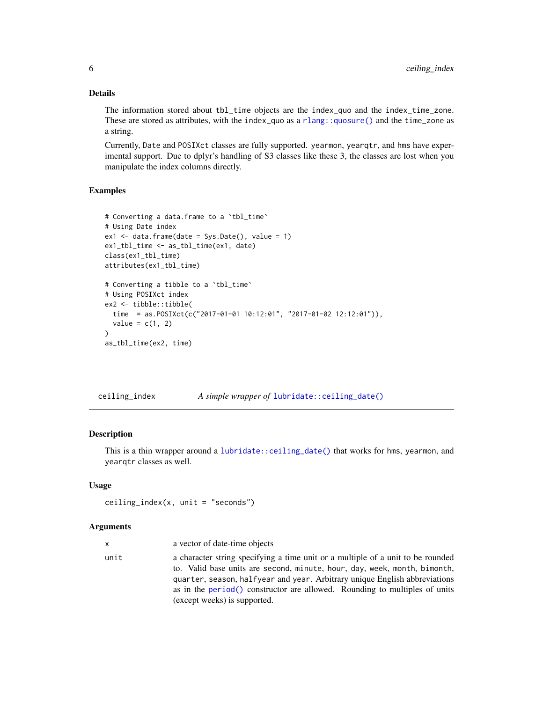### Details

The information stored about tbl\_time objects are the index\_quo and the index\_time\_zone. These are stored as attributes, with the index\_quo as a [rlang::quosure\(\)](#page-0-0) and the time\_zone as a string.

Currently, Date and POSIXct classes are fully supported. yearmon, yearqtr, and hms have experimental support. Due to dplyr's handling of S3 classes like these 3, the classes are lost when you manipulate the index columns directly.

# Examples

```
# Converting a data.frame to a `tbl_time`
# Using Date index
ex1 \leq -\text{data}. frame(date = Sys.Date(), value = 1)
ex1_tbl_time <- as_tbl_time(ex1, date)
class(ex1_tbl_time)
attributes(ex1_tbl_time)
# Converting a tibble to a `tbl_time`
# Using POSIXct index
ex2 <- tibble::tibble(
  time = as.POSIXct(c("2017-01-01 10:12:01", "2017-01-02 12:12:01")),
  value = c(1, 2))
as_tbl_time(ex2, time)
```
ceiling\_index *A simple wrapper of* [lubridate::ceiling\\_date\(\)](#page-0-0)

# Description

This is a thin wrapper around a [lubridate::ceiling\\_date\(\)](#page-0-0) that works for hms, yearmon, and yearqtr classes as well.

#### Usage

```
ceiling_index(x, unit = "seconds")
```
#### Arguments

| x    | a vector of date-time objects                                                                                                                                                                                                                                                                                                                            |
|------|----------------------------------------------------------------------------------------------------------------------------------------------------------------------------------------------------------------------------------------------------------------------------------------------------------------------------------------------------------|
| unit | a character string specifying a time unit or a multiple of a unit to be rounded<br>to. Valid base units are second, minute, hour, day, week, month, bimonth,<br>quarter, season, halfyear and year. Arbitrary unique English abbreviations<br>as in the period() constructor are allowed. Rounding to multiples of units<br>(except weeks) is supported. |

<span id="page-5-0"></span>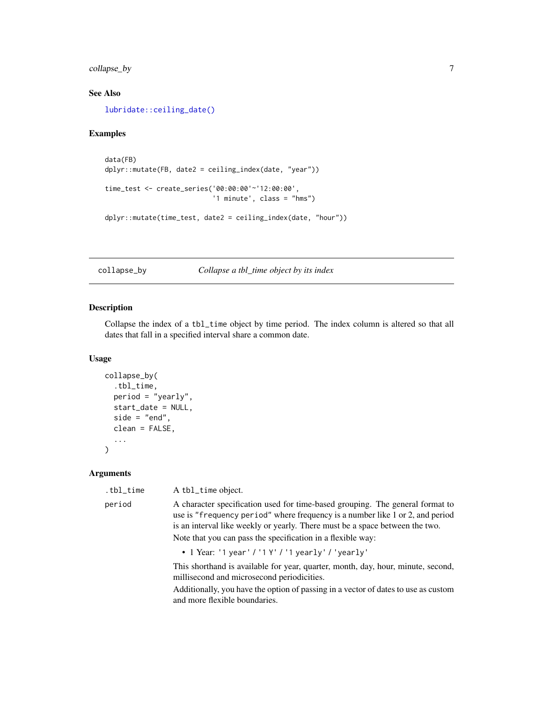# <span id="page-6-0"></span>collapse\_by 7

# See Also

[lubridate::ceiling\\_date\(\)](#page-0-0)

#### Examples

```
data(FB)
dplyr::mutate(FB, date2 = ceiling_index(date, "year"))
time_test <- create_series('00:00:00'~'12:00:00',
                           '1 minute', class = "hms")
dplyr::mutate(time_test, date2 = ceiling_index(date, "hour"))
```
<span id="page-6-1"></span>collapse\_by *Collapse a tbl\_time object by its index*

# Description

Collapse the index of a tbl\_time object by time period. The index column is altered so that all dates that fall in a specified interval share a common date.

#### Usage

```
collapse_by(
  .tbl_time,
 period = "yearly",
  start_date = NULL,
  side = "end",clean = FALSE,
  ...
)
```
### Arguments

| .tbl_time | A tbl_time object.                                                                                                                                                                                                                             |
|-----------|------------------------------------------------------------------------------------------------------------------------------------------------------------------------------------------------------------------------------------------------|
| period    | A character specification used for time-based grouping. The general format to<br>use is "frequency period" where frequency is a number like 1 or 2, and period<br>is an interval like weekly or yearly. There must be a space between the two. |
|           | Note that you can pass the specification in a flexible way:                                                                                                                                                                                    |
|           | • 1 Year: '1 year' / '1 Y' / '1 yearly' / 'yearly'                                                                                                                                                                                             |
|           | This shorthand is available for year, quarter, month, day, hour, minute, second,<br>millisecond and microsecond periodicities.                                                                                                                 |

Additionally, you have the option of passing in a vector of dates to use as custom and more flexible boundaries.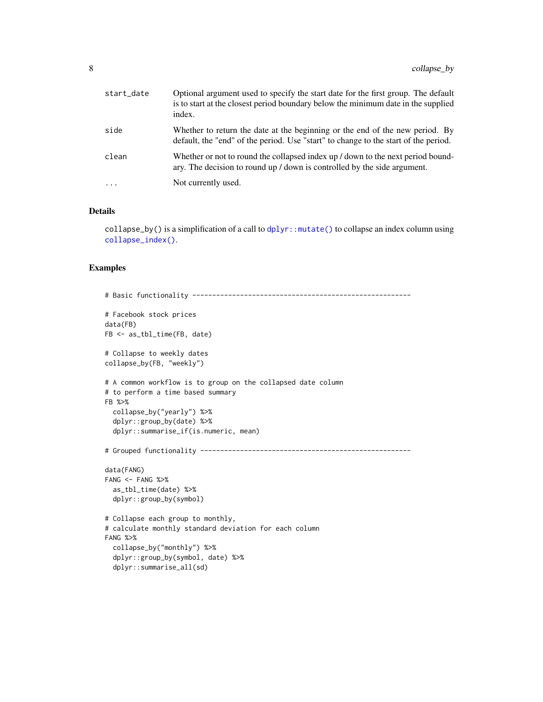<span id="page-7-0"></span>

| start_date | Optional argument used to specify the start date for the first group. The default<br>is to start at the closest period boundary below the minimum date in the supplied<br>index. |
|------------|----------------------------------------------------------------------------------------------------------------------------------------------------------------------------------|
| side       | Whether to return the date at the beginning or the end of the new period. By<br>default, the "end" of the period. Use "start" to change to the start of the period.              |
| clean      | Whether or not to round the collapsed index up / down to the next period bound-<br>ary. The decision to round up / down is controlled by the side argument.                      |
| $\cdots$   | Not currently used.                                                                                                                                                              |

#### Details

collapse\_by() is a simplification of a call to  $d$ plyr::mutate() to collapse an index column using [collapse\\_index\(\)](#page-8-1).

```
# Basic functionality -------------------------------------------------------
# Facebook stock prices
data(FB)
FB <- as_tbl_time(FB, date)
# Collapse to weekly dates
collapse_by(FB, "weekly")
# A common workflow is to group on the collapsed date column
# to perform a time based summary
FB %>%
  collapse_by("yearly") %>%
  dplyr::group_by(date) %>%
  dplyr::summarise_if(is.numeric, mean)
# Grouped functionality -----------------------------------------------------
data(FANG)
FANG < - FANG % >as_tbl_time(date) %>%
  dplyr::group_by(symbol)
# Collapse each group to monthly,
# calculate monthly standard deviation for each column
FANG %>%
  collapse_by("monthly") %>%
  dplyr::group_by(symbol, date) %>%
  dplyr::summarise_all(sd)
```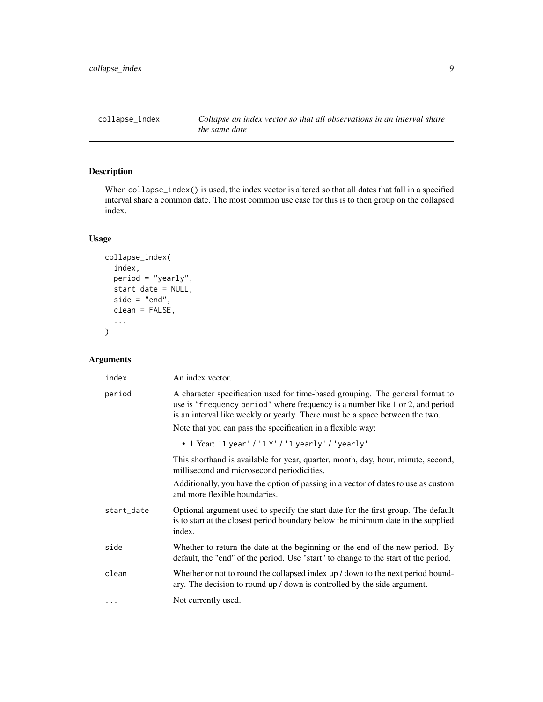<span id="page-8-1"></span><span id="page-8-0"></span>

# Description

When collapse\_index() is used, the index vector is altered so that all dates that fall in a specified interval share a common date. The most common use case for this is to then group on the collapsed index.

#### Usage

```
collapse_index(
  index,
 period = "yearly",
  start_date = NULL,
 side = "end",clean = FALSE,
  ...
)
```
# Arguments

| index      | An index vector.                                                                                                                                                                                                                               |
|------------|------------------------------------------------------------------------------------------------------------------------------------------------------------------------------------------------------------------------------------------------|
| period     | A character specification used for time-based grouping. The general format to<br>use is "frequency period" where frequency is a number like 1 or 2, and period<br>is an interval like weekly or yearly. There must be a space between the two. |
|            | Note that you can pass the specification in a flexible way:                                                                                                                                                                                    |
|            | • 1 Year: '1 year' / '1 Y' / '1 yearly' / 'yearly'                                                                                                                                                                                             |
|            | This shorthand is available for year, quarter, month, day, hour, minute, second,<br>millisecond and microsecond periodicities.                                                                                                                 |
|            | Additionally, you have the option of passing in a vector of dates to use as custom<br>and more flexible boundaries.                                                                                                                            |
| start_date | Optional argument used to specify the start date for the first group. The default<br>is to start at the closest period boundary below the minimum date in the supplied<br>index.                                                               |
| side       | Whether to return the date at the beginning or the end of the new period. By<br>default, the "end" of the period. Use "start" to change to the start of the period.                                                                            |
| clean      | Whether or not to round the collapsed index up / down to the next period bound-<br>ary. The decision to round up / down is controlled by the side argument.                                                                                    |
| $\cdots$   | Not currently used.                                                                                                                                                                                                                            |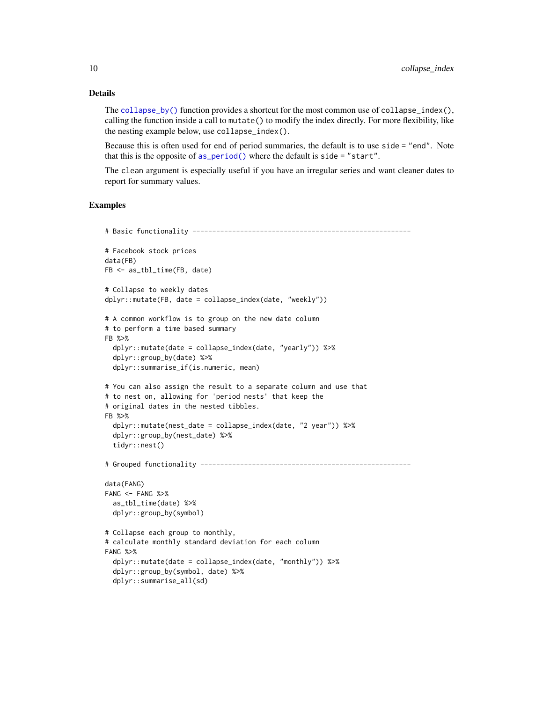### Details

The [collapse\\_by\(\)](#page-6-1) function provides a shortcut for the most common use of collapse\_index(), calling the function inside a call to mutate() to modify the index directly. For more flexibility, like the nesting example below, use collapse\_index().

Because this is often used for end of period summaries, the default is to use side = "end". Note that this is the opposite of  $as\_period()$  where the default is side = "start".

The clean argument is especially useful if you have an irregular series and want cleaner dates to report for summary values.

```
# Basic functionality -------------------------------------------------------
# Facebook stock prices
data(FB)
FB <- as_tbl_time(FB, date)
# Collapse to weekly dates
dplyr::mutate(FB, date = collapse_index(date, "weekly"))
# A common workflow is to group on the new date column
# to perform a time based summary
FB %>%
  dplyr::mutate(date = collapse_index(date, "yearly")) %>%
  dplyr::group_by(date) %>%
  dplyr::summarise_if(is.numeric, mean)
# You can also assign the result to a separate column and use that
# to nest on, allowing for 'period nests' that keep the
# original dates in the nested tibbles.
FB %>%
  dplyr::mutate(nest_date = collapse_index(date, "2 year")) %>%
  dplyr::group_by(nest_date) %>%
  tidyr::nest()
# Grouped functionality -----------------------------------------------------
data(FANG)
FANG < - FANG %as_tbl_time(date) %>%
  dplyr::group_by(symbol)
# Collapse each group to monthly,
# calculate monthly standard deviation for each column
FANG %>%
  dplyr::mutate(date = collapse_index(date, "monthly")) %>%
  dplyr::group_by(symbol, date) %>%
  dplyr::summarise_all(sd)
```
<span id="page-9-0"></span>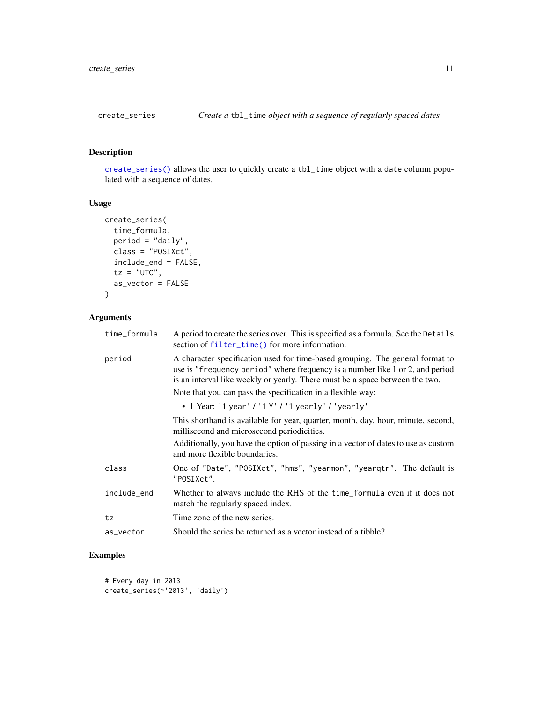<span id="page-10-1"></span><span id="page-10-0"></span>

# Description

[create\\_series\(\)](#page-10-1) allows the user to quickly create a tbl\_time object with a date column populated with a sequence of dates.

#### Usage

```
create_series(
  time_formula,
  period = "daily",
  class = "POSIXct",
  include_end = FALSE,
  tz = "UTC",as_vector = FALSE
\mathcal{L}
```
# Arguments

| time_formula | A period to create the series over. This is specified as a formula. See the Details<br>section of filter_time() for more information.                                                                                                          |
|--------------|------------------------------------------------------------------------------------------------------------------------------------------------------------------------------------------------------------------------------------------------|
| period       | A character specification used for time-based grouping. The general format to<br>use is "frequency period" where frequency is a number like 1 or 2, and period<br>is an interval like weekly or yearly. There must be a space between the two. |
|              | Note that you can pass the specification in a flexible way:                                                                                                                                                                                    |
|              | • 1 Year: '1 year' / '1 Y' / '1 yearly' / 'yearly'                                                                                                                                                                                             |
|              | This shorthand is available for year, quarter, month, day, hour, minute, second,<br>millisecond and microsecond periodicities.                                                                                                                 |
|              | Additionally, you have the option of passing in a vector of dates to use as custom<br>and more flexible boundaries.                                                                                                                            |
| class        | One of "Date", "POSIXct", "hms", "yearmon", "yearqtr". The default is<br>"POSIXct".                                                                                                                                                            |
| include_end  | Whether to always include the RHS of the time_formula even if it does not<br>match the regularly spaced index.                                                                                                                                 |
| tz           | Time zone of the new series.                                                                                                                                                                                                                   |
| as_vector    | Should the series be returned as a vector instead of a tibble?                                                                                                                                                                                 |

```
# Every day in 2013
create_series(~'2013', 'daily')
```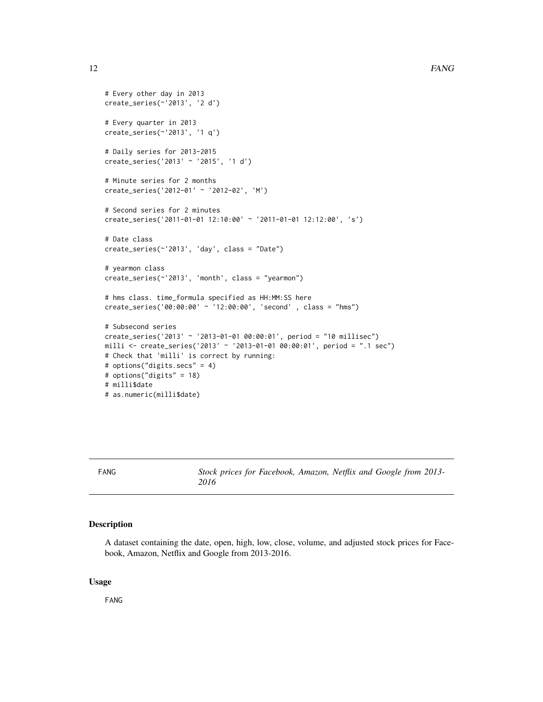```
# Every other day in 2013
create_series(~'2013', '2 d')
# Every quarter in 2013
create_series(~'2013', '1 q')
# Daily series for 2013-2015
create_series('2013' ~ '2015', '1 d')
# Minute series for 2 months
create_series('2012-01' ~ '2012-02', 'M')
# Second series for 2 minutes
create_series('2011-01-01 12:10:00' ~ '2011-01-01 12:12:00', 's')
# Date class
create_series(~'2013', 'day', class = "Date")
# yearmon class
create_series(~'2013', 'month', class = "yearmon")
# hms class. time_formula specified as HH:MM:SS here
create_series('00:00:00' ~ '12:00:00', 'second' , class = "hms")
# Subsecond series
create_series('2013' ~ '2013-01-01 00:00:01', period = "10 millisec")
milli <- create_series('2013' ~ '2013-01-01 00:00:01', period = ".1 sec")
# Check that 'milli' is correct by running:
# options("digits.secs" = 4)
# options("digits" = 18)
# milli$date
# as.numeric(milli$date)
```
FANG *Stock prices for Facebook, Amazon, Netflix and Google from 2013- 2016*

#### Description

A dataset containing the date, open, high, low, close, volume, and adjusted stock prices for Facebook, Amazon, Netflix and Google from 2013-2016.

#### Usage

FANG

<span id="page-11-0"></span>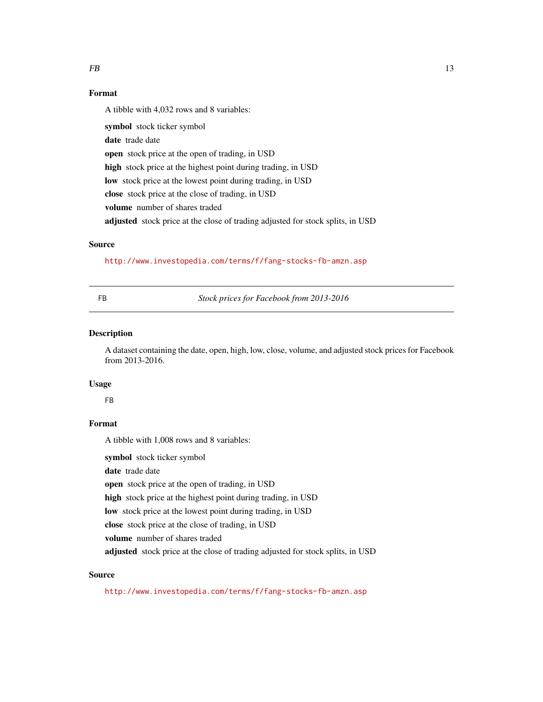#### <span id="page-12-0"></span> $FB$  13

# Format

A tibble with 4,032 rows and 8 variables:

symbol stock ticker symbol date trade date open stock price at the open of trading, in USD high stock price at the highest point during trading, in USD low stock price at the lowest point during trading, in USD close stock price at the close of trading, in USD volume number of shares traded adjusted stock price at the close of trading adjusted for stock splits, in USD

#### Source

<http://www.investopedia.com/terms/f/fang-stocks-fb-amzn.asp>

FB *Stock prices for Facebook from 2013-2016*

#### Description

A dataset containing the date, open, high, low, close, volume, and adjusted stock prices for Facebook from 2013-2016.

#### Usage

FB

# Format

A tibble with 1,008 rows and 8 variables:

symbol stock ticker symbol

date trade date

open stock price at the open of trading, in USD

high stock price at the highest point during trading, in USD

low stock price at the lowest point during trading, in USD

close stock price at the close of trading, in USD

volume number of shares traded

adjusted stock price at the close of trading adjusted for stock splits, in USD

#### Source

<http://www.investopedia.com/terms/f/fang-stocks-fb-amzn.asp>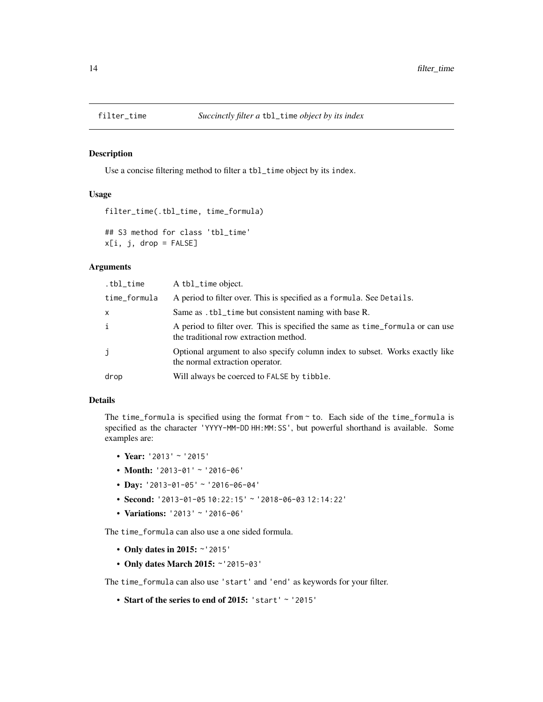<span id="page-13-1"></span><span id="page-13-0"></span>

#### Description

Use a concise filtering method to filter a tbl\_time object by its index.

### Usage

```
filter_time(.tbl_time, time_formula)
## S3 method for class 'tbl_time'
x[i, j, drop = FALSE]
```
#### Arguments

| .tbl_time    | A tbl_time object.                                                                                                       |
|--------------|--------------------------------------------------------------------------------------------------------------------------|
| time_formula | A period to filter over. This is specified as a formula. See Details.                                                    |
| X            | Same as . tbl_time but consistent naming with base R.                                                                    |
| i            | A period to filter over. This is specified the same as time_formula or can use<br>the traditional row extraction method. |
| j            | Optional argument to also specify column index to subset. Works exactly like<br>the normal extraction operator.          |
| drop         | Will always be coerced to FALSE by tibble.                                                                               |

#### Details

The time\_formula is specified using the format from  $\sim$  to. Each side of the time\_formula is specified as the character 'YYYY-MM-DD HH:MM:SS', but powerful shorthand is available. Some examples are:

- Year: '2013' ~ '2015'
- Month: '2013-01' ~ '2016-06'
- Day: '2013-01-05' ~ '2016-06-04'
- Second: '2013-01-05 10:22:15' ~ '2018-06-03 12:14:22'
- Variations: '2013' ~ '2016-06'

The time\_formula can also use a one sided formula.

- Only dates in 2015: ~'2015'
- Only dates March 2015: ~'2015-03'

The time\_formula can also use 'start' and 'end' as keywords for your filter.

• Start of the series to end of 2015: 'start' ~ '2015'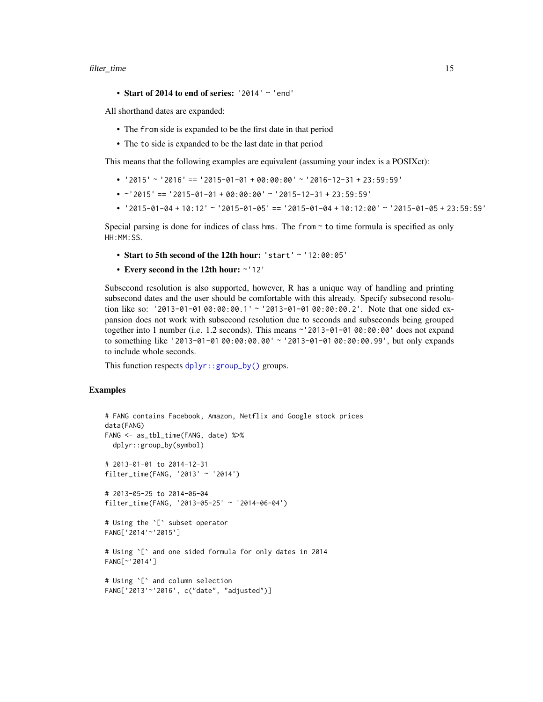#### <span id="page-14-0"></span>filter\_time 15

• Start of 2014 to end of series: '2014' ~ 'end'

All shorthand dates are expanded:

- The from side is expanded to be the first date in that period
- The to side is expanded to be the last date in that period

This means that the following examples are equivalent (assuming your index is a POSIXct):

- '2015' ~ '2016' == '2015-01-01 + 00:00:00' ~ '2016-12-31 + 23:59:59'
- ~'2015' == '2015-01-01 + 00:00:00' ~ '2015-12-31 + 23:59:59'
- '2015-01-04 + 10:12' ~ '2015-01-05' == '2015-01-04 + 10:12:00' ~ '2015-01-05 + 23:59:59'

Special parsing is done for indices of class hms. The from  $\sim$  to time formula is specified as only HH:MM:SS.

- Start to 5th second of the 12th hour: 'start' ~ '12:00:05'
- Every second in the 12th hour: ~'12'

Subsecond resolution is also supported, however, R has a unique way of handling and printing subsecond dates and the user should be comfortable with this already. Specify subsecond resolution like so: '2013-01-01 00:00:00.1' ~ '2013-01-01 00:00:00.2'. Note that one sided expansion does not work with subsecond resolution due to seconds and subseconds being grouped together into 1 number (i.e. 1.2 seconds). This means ~'2013-01-01 00:00:00' does not expand to something like '2013-01-01 00:00:00.00' ~ '2013-01-01 00:00:00.99', but only expands to include whole seconds.

This function respects [dplyr::group\\_by\(\)](#page-0-0) groups.

```
# FANG contains Facebook, Amazon, Netflix and Google stock prices
data(FANG)
FANG <- as_tbl_time(FANG, date) %>%
  dplyr::group_by(symbol)
# 2013-01-01 to 2014-12-31
filter_time(FANG, '2013' ~ '2014')
# 2013-05-25 to 2014-06-04
filter_time(FANG, '2013-05-25' ~ '2014-06-04')
# Using the `[` subset operator
FANG['2014'~'2015']
# Using `[` and one sided formula for only dates in 2014
FANG[~'2014']
# Using `[` and column selection
FANG['2013'~'2016', c("date", "adjusted")]
```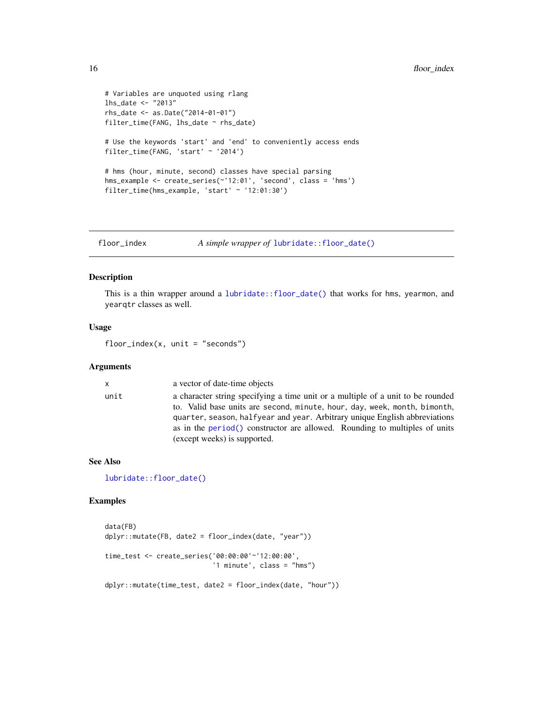```
# Variables are unquoted using rlang
lhs_date <- "2013"
rhs_date <- as.Date("2014-01-01")
filter_time(FANG, lhs_date ~ rhs_date)
# Use the keywords 'start' and 'end' to conveniently access ends
filter_time(FANG, 'start' ~ '2014')
# hms (hour, minute, second) classes have special parsing
hms_example <- create_series(~'12:01', 'second', class = 'hms')
filter_time(hms_example, 'start' ~ '12:01:30')
```
floor\_index *A simple wrapper of* [lubridate::floor\\_date\(\)](#page-0-0)

#### Description

This is a thin wrapper around a [lubridate::floor\\_date\(\)](#page-0-0) that works for hms, yearmon, and yearqtr classes as well.

#### Usage

 $floor\_index(x, unit = "seconds")$ 

#### Arguments

# x a vector of date-time objects unit a character string specifying a time unit or a multiple of a unit to be rounded to. Valid base units are second, minute, hour, day, week, month, bimonth, quarter, season, halfyear and year. Arbitrary unique English abbreviations as in the [period\(\)](#page-0-0) constructor are allowed. Rounding to multiples of units (except weeks) is supported.

#### See Also

[lubridate::floor\\_date\(\)](#page-0-0)

```
data(FB)
dplyr::mutate(FB, date2 = floor_index(date, "year"))
time_test <- create_series('00:00:00'~'12:00:00',
                           '1 minute', class = "hms")
dplyr::mutate(time_test, date2 = floor_index(date, "hour"))
```
<span id="page-15-0"></span>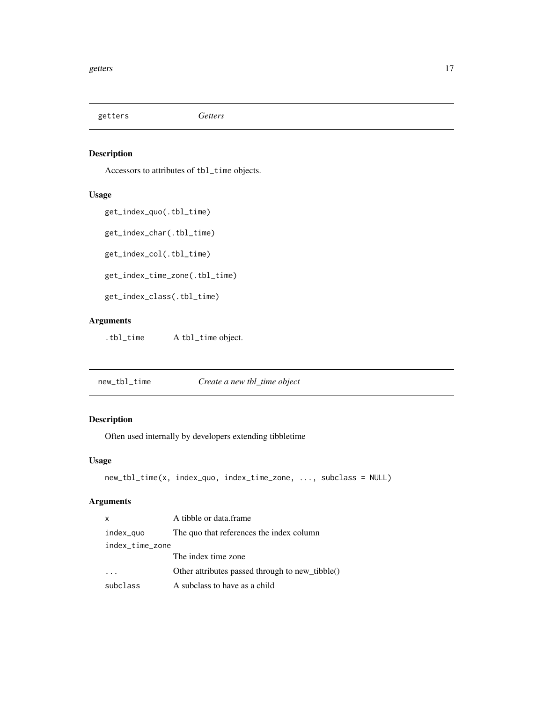<span id="page-16-0"></span>getters *Getters*

# Description

Accessors to attributes of tbl\_time objects.

# Usage

get\_index\_quo(.tbl\_time)

get\_index\_char(.tbl\_time)

get\_index\_col(.tbl\_time)

get\_index\_time\_zone(.tbl\_time)

get\_index\_class(.tbl\_time)

# Arguments

.tbl\_time A tbl\_time object.

new\_tbl\_time *Create a new tbl\_time object*

# Description

Often used internally by developers extending tibbletime

#### Usage

```
new_tbl_time(x, index_quo, index_time_zone, ..., subclass = NULL)
```
# Arguments

| x               | A tibble or data.frame                          |
|-----------------|-------------------------------------------------|
| index_quo       | The quo that references the index column        |
| index_time_zone |                                                 |
|                 | The index time zone                             |
|                 | Other attributes passed through to new_tibble() |
| subclass        | A subclass to have as a child                   |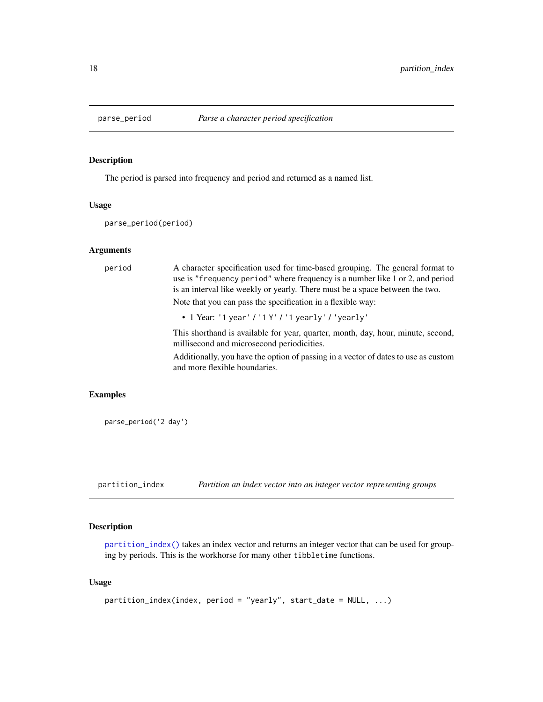<span id="page-17-0"></span>

# Description

The period is parsed into frequency and period and returned as a named list.

#### Usage

parse\_period(period)

#### Arguments

| period | A character specification used for time-based grouping. The general format to<br>use is "frequency period" where frequency is a number like 1 or 2, and period<br>is an interval like weekly or yearly. There must be a space between the two. |
|--------|------------------------------------------------------------------------------------------------------------------------------------------------------------------------------------------------------------------------------------------------|
|        | Note that you can pass the specification in a flexible way:                                                                                                                                                                                    |
|        | • 1 Year: '1 year' / '1 Y' / '1 yearly' / 'yearly'                                                                                                                                                                                             |
|        | This shorthand is available for year, quarter, month, day, hour, minute, second,<br>millisecond and microsecond periodicities.                                                                                                                 |
|        | Additionally, you have the option of passing in a vector of dates to use as custom<br>and more flexible boundaries.                                                                                                                            |

# Examples

parse\_period('2 day')

<span id="page-17-1"></span>partition\_index *Partition an index vector into an integer vector representing groups*

### Description

[partition\\_index\(\)](#page-17-1) takes an index vector and returns an integer vector that can be used for grouping by periods. This is the workhorse for many other tibbletime functions.

#### Usage

```
partition\_index(index, period = "yearly", start_data = NULL, ...)
```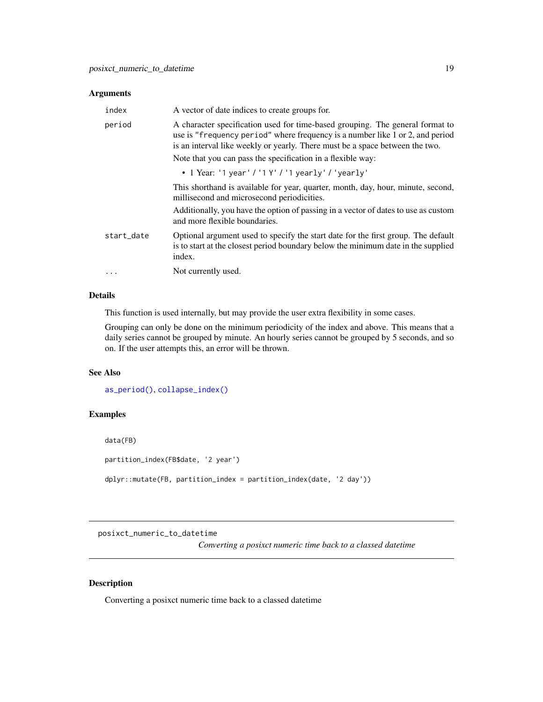#### <span id="page-18-0"></span>Arguments

| index      | A vector of date indices to create groups for.                                                                                                                                                                                                 |
|------------|------------------------------------------------------------------------------------------------------------------------------------------------------------------------------------------------------------------------------------------------|
| period     | A character specification used for time-based grouping. The general format to<br>use is "frequency period" where frequency is a number like 1 or 2, and period<br>is an interval like weekly or yearly. There must be a space between the two. |
|            | Note that you can pass the specification in a flexible way:                                                                                                                                                                                    |
|            | • 1 Year: '1 year' / '1 Y' / '1 yearly' / 'yearly'                                                                                                                                                                                             |
|            | This shorthand is available for year, quarter, month, day, hour, minute, second,<br>millisecond and microsecond periodicities.                                                                                                                 |
|            | Additionally, you have the option of passing in a vector of dates to use as custom<br>and more flexible boundaries.                                                                                                                            |
| start_date | Optional argument used to specify the start date for the first group. The default<br>is to start at the closest period boundary below the minimum date in the supplied<br>index.                                                               |
| $\ddots$   | Not currently used.                                                                                                                                                                                                                            |

#### Details

This function is used internally, but may provide the user extra flexibility in some cases.

Grouping can only be done on the minimum periodicity of the index and above. This means that a daily series cannot be grouped by minute. An hourly series cannot be grouped by 5 seconds, and so on. If the user attempts this, an error will be thrown.

### See Also

```
as_period(), collapse_index()
```
# Examples

data(FB)

partition\_index(FB\$date, '2 year')

dplyr::mutate(FB, partition\_index = partition\_index(date, '2 day'))

posixct\_numeric\_to\_datetime

*Converting a posixct numeric time back to a classed datetime*

# Description

Converting a posixct numeric time back to a classed datetime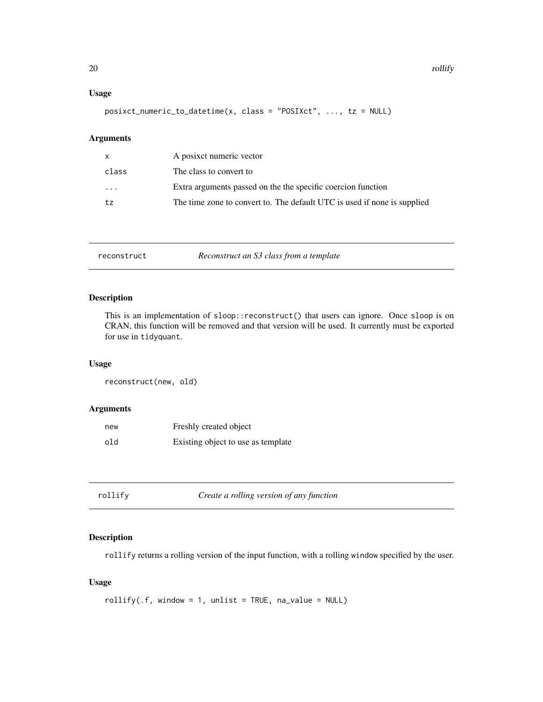### <span id="page-19-0"></span>Usage

posixct\_numeric\_to\_datetime(x, class = "POSIXct", ..., tz = NULL)

# Arguments

| $\mathsf{x}$ | A posixet numeric vector                                                 |
|--------------|--------------------------------------------------------------------------|
| class        | The class to convert to                                                  |
| .            | Extra arguments passed on the the specific coercion function             |
| t.z          | The time zone to convert to. The default UTC is used if none is supplied |

reconstruct *Reconstruct an S3 class from a template*

#### Description

This is an implementation of sloop::reconstruct() that users can ignore. Once sloop is on CRAN, this function will be removed and that version will be used. It currently must be exported for use in tidyquant.

### Usage

reconstruct(new, old)

# Arguments

| new | Freshly created object             |
|-----|------------------------------------|
| old | Existing object to use as template |

| rollify | Create a rolling version of any function |
|---------|------------------------------------------|
|         |                                          |

#### Description

rollify returns a rolling version of the input function, with a rolling window specified by the user.

### Usage

```
rollify(.f, window = 1, unlike = TRUE, na_value = NULL)
```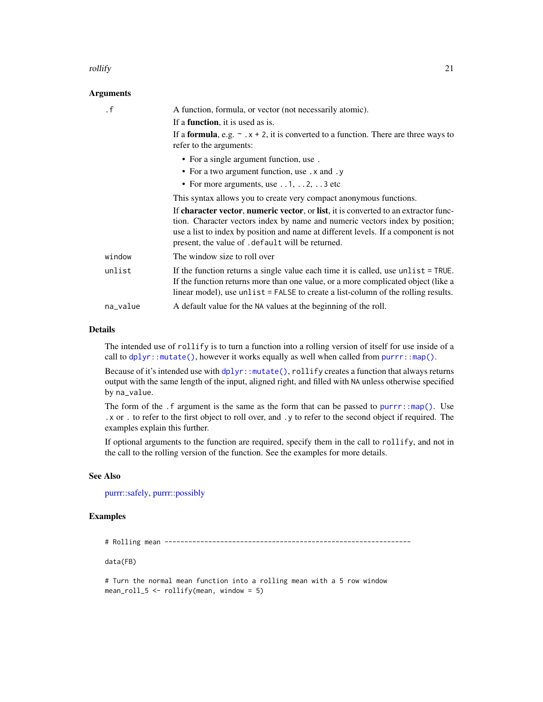#### <span id="page-20-0"></span>rollify 21

#### **Arguments**

| $\cdot$ f | A function, formula, or vector (not necessarily atomic).                                                                                                                                                                                                                                                        |
|-----------|-----------------------------------------------------------------------------------------------------------------------------------------------------------------------------------------------------------------------------------------------------------------------------------------------------------------|
|           | If a <b>function</b> , it is used as is.                                                                                                                                                                                                                                                                        |
|           | If a <b>formula</b> , e.g. $\sim x + 2$ , it is converted to a function. There are three ways to<br>refer to the arguments:                                                                                                                                                                                     |
|           | • For a single argument function, use.                                                                                                                                                                                                                                                                          |
|           | • For a two argument function, use . x and . y                                                                                                                                                                                                                                                                  |
|           | • For more arguments, use $\dots$ 1, $\dots$ 2, $\dots$ 3 etc                                                                                                                                                                                                                                                   |
|           | This syntax allows you to create very compact anonymous functions.                                                                                                                                                                                                                                              |
|           | If character vector, numeric vector, or list, it is converted to an extractor func-<br>tion. Character vectors index by name and numeric vectors index by position;<br>use a list to index by position and name at different levels. If a component is not<br>present, the value of . default will be returned. |
| window    | The window size to roll over                                                                                                                                                                                                                                                                                    |
| unlist    | If the function returns a single value each time it is called, use unlist $=$ TRUE.<br>If the function returns more than one value, or a more complicated object (like a<br>linear model), use unlist = FALSE to create a list-column of the rolling results.                                                   |
| na_value  | A default value for the NA values at the beginning of the roll.                                                                                                                                                                                                                                                 |

#### Details

The intended use of rollify is to turn a function into a rolling version of itself for use inside of a call to  $d$ plyr::mutate(), however it works equally as well when called from [purrr::map\(\)](#page-0-0).

Because of it's intended use with [dplyr::mutate\(\)](#page-0-0), rollify creates a function that always returns output with the same length of the input, aligned right, and filled with NA unless otherwise specified by na\_value.

The form of the  $\cdot$  f argument is the same as the form that can be passed to [purrr::map\(\)](#page-0-0). Use .x or . to refer to the first object to roll over, and .y to refer to the second object if required. The examples explain this further.

If optional arguments to the function are required, specify them in the call to rollify, and not in the call to the rolling version of the function. See the examples for more details.

#### See Also

[purrr::safely,](#page-0-0) [purrr::possibly](#page-0-0)

# Examples

# Rolling mean --------------------------------------------------------------

data(FB)

# Turn the normal mean function into a rolling mean with a 5 row window mean\_roll\_5 <- rollify(mean, window = 5)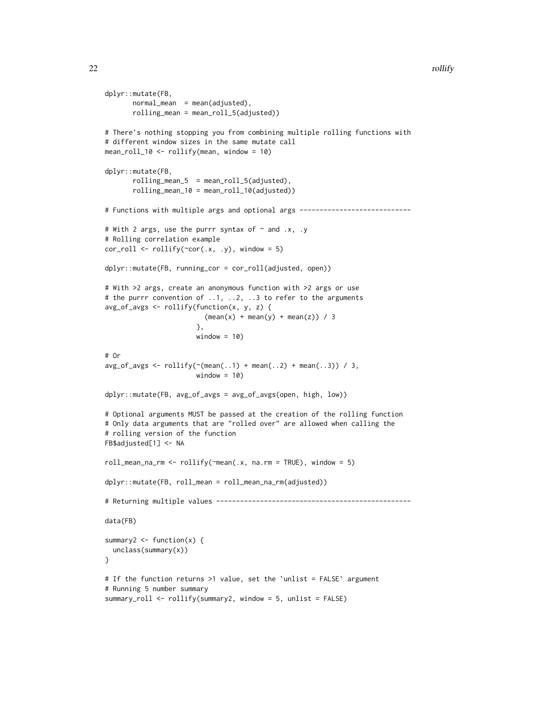```
dplyr::mutate(FB,
       normal_mean = mean(adjusted),
       rolling_mean = mean_roll_5(adjusted))
# There's nothing stopping you from combining multiple rolling functions with
# different window sizes in the same mutate call
mean_roll_10 <- rollify(mean, window = 10)
dplyr::mutate(FB,
       rolling_mean_5 = mean_roll_5(adjusted),
       rolling_mean_10 = mean_roll_10(adjusted))
# Functions with multiple args and optional args -----------------------------
# With 2 args, use the purrr syntax of \sim and .x, .y
# Rolling correlation example
cor\_roll \leftarrow rollify(\sim cor(.x, .y), window = 5)dplyr::mutate(FB, running_cor = cor_roll(adjusted, open))
# With >2 args, create an anonymous function with >2 args or use
# the purrr convention of ..1, ..2, ..3 to refer to the arguments
avg_of_avgs <- rollify(function(x, y, z) {
                         (mean(x) + mean(y) + mean(z)) / 3
                       },
                       window = 10)# Or
avg_of_avgs \leftarrow rollify(\sim(mean(..1) + mean(..2) + mean(..3)) / 3,window = 10)
dplyr::mutate(FB, avg_of_avgs = avg_of_avgs(open, high, low))
# Optional arguments MUST be passed at the creation of the rolling function
# Only data arguments that are "rolled over" are allowed when calling the
# rolling version of the function
FB$adjusted[1] <- NA
roll_mean_na_rm \leq rollify(\text{mean}(x, na.rm = TRUE), window = 5)dplyr::mutate(FB, roll_mean = roll_mean_na_rm(adjusted))
# Returning multiple values -------------------------------------------------
data(FB)
summary2 \leq function(x) {
 unclass(summary(x))
}
# If the function returns >1 value, set the `unlist = FALSE` argument
# Running 5 number summary
summary_roll <- rollify(summary2, window = 5, unlist = FALSE)
```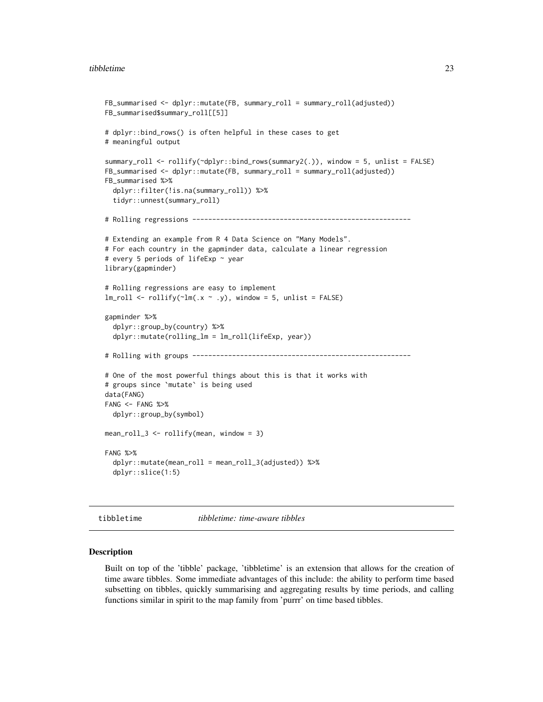```
FB_summarised <- dplyr::mutate(FB, summary_roll = summary_roll(adjusted))
FB_summarised$summary_roll[[5]]
# dplyr::bind_rows() is often helpful in these cases to get
# meaningful output
summary_roll <- rollify(~dplyr::bind_rows(summary2(.)), window = 5, unlist = FALSE)
FB_summarised <- dplyr::mutate(FB, summary_roll = summary_roll(adjusted))
FB_summarised %>%
  dplyr::filter(!is.na(summary_roll)) %>%
  tidyr::unnest(summary_roll)
# Rolling regressions -------------------------------------------------------
# Extending an example from R 4 Data Science on "Many Models".
# For each country in the gapminder data, calculate a linear regression
# every 5 periods of lifeExp ~ year
library(gapminder)
# Rolling regressions are easy to implement
lm\_roll \leftarrow rollify(\sim lm(.x \sim .y), window = 5, units = FALSE)gapminder %>%
  dplyr::group_by(country) %>%
  dplyr::mutate(rolling_lm = lm_roll(lifeExp, year))
# Rolling with groups -------------------------------------------------------
# One of the most powerful things about this is that it works with
# groups since `mutate` is being used
data(FANG)
FANG < - FANG \gg%
  dplyr::group_by(symbol)
mean_roll_3 <- rollify(mean, window = 3)
FANG %>%
  dplyr::mutate(mean_roll = mean_roll_3(adjusted)) %>%
  dplyr::slice(1:5)
```
tibbletime *tibbletime: time-aware tibbles*

#### Description

Built on top of the 'tibble' package, 'tibbletime' is an extension that allows for the creation of time aware tibbles. Some immediate advantages of this include: the ability to perform time based subsetting on tibbles, quickly summarising and aggregating results by time periods, and calling functions similar in spirit to the map family from 'purrr' on time based tibbles.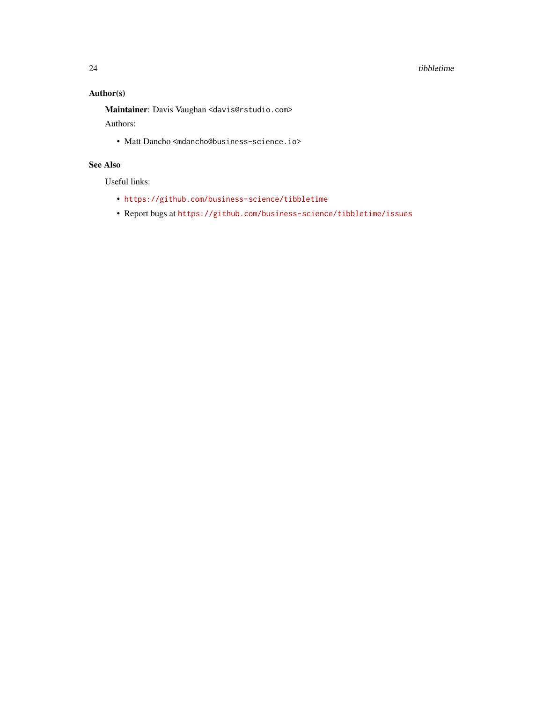#### 24 tibbletime and the state of the state of the state of the state of the state of the state of the state of the state of the state of the state of the state of the state of the state of the state of the state of the state

# Author(s)

Maintainer: Davis Vaughan <davis@rstudio.com>

Authors:

• Matt Dancho <mdancho@business-science.io>

# See Also

Useful links:

- <https://github.com/business-science/tibbletime>
- Report bugs at <https://github.com/business-science/tibbletime/issues>